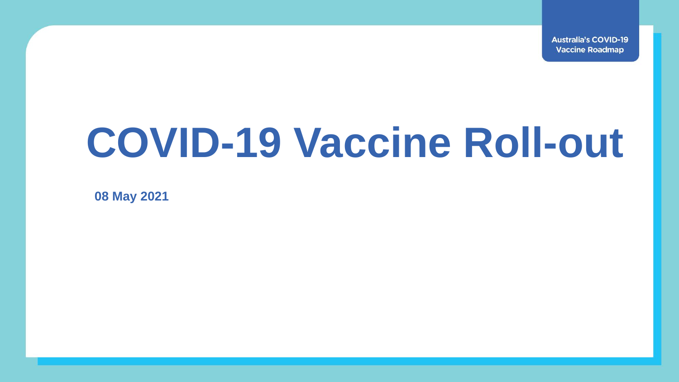**Australia's COVID-19 Vaccine Roadmap** 

## **COVID-19 Vaccine Roll-out**

**08 May 2021**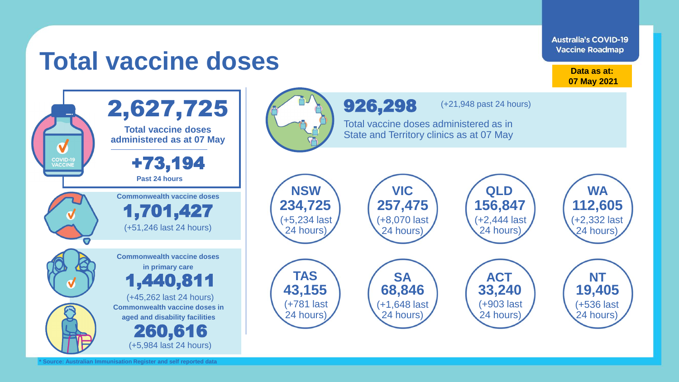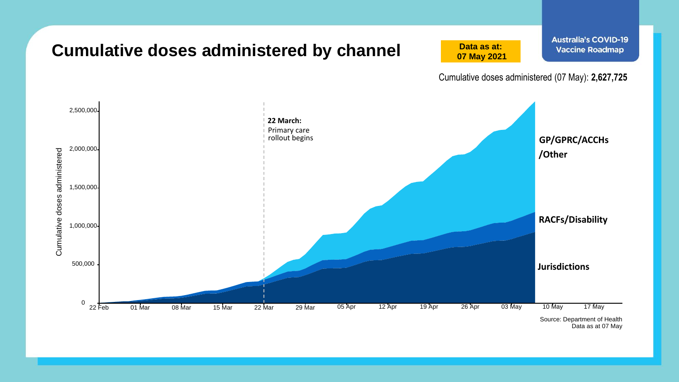

Data as at 07 May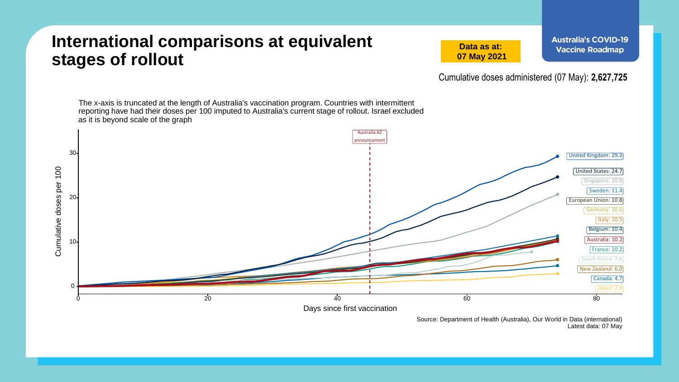## **International comparisons at equivalent stages of rollout**

**Data as at: 07 May 2021**

Cumulative doses administered (07 May): **2,627,725**

The x-axis is truncated at the length of Australia's vaccination program. Countries with intermittent reporting have had their doses per 100 imputed to Australia's current stage of rollout. Israel excluded as it is beyond scale of the graph Australia AZ announcement 30 United Kingdom: 29.3 Cumulative doses per 100 Cumulative doses per 100 United States: 24.7 Singapore: 20.8 Sweden: 11.4 20 European Union: 10.8 Germany: 10.6 Italy: 10.5 Belgium: 10.4 Australia: 10.2 10 France: 10.2 South Korea: 7.8 New Zealand: 6.0 Canada: 4.7 0 0 20 40 60 80 Days since first vaccination

> Source: Department of Health (Australia), Our World in Data (international) Latest data: 07 May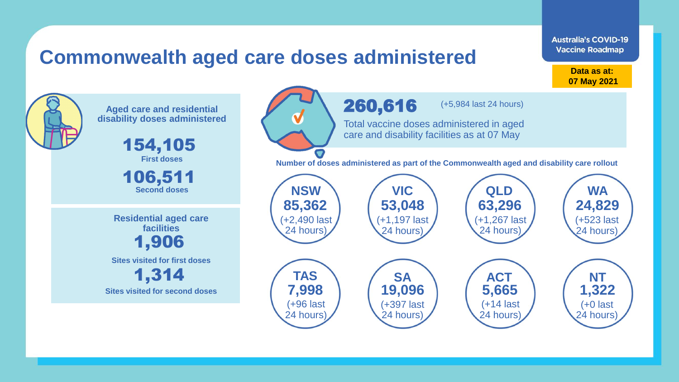## **Commonwealth aged care doses administered**

**Data as at: Data as at: 18 Apr 2021 07 May 2021**